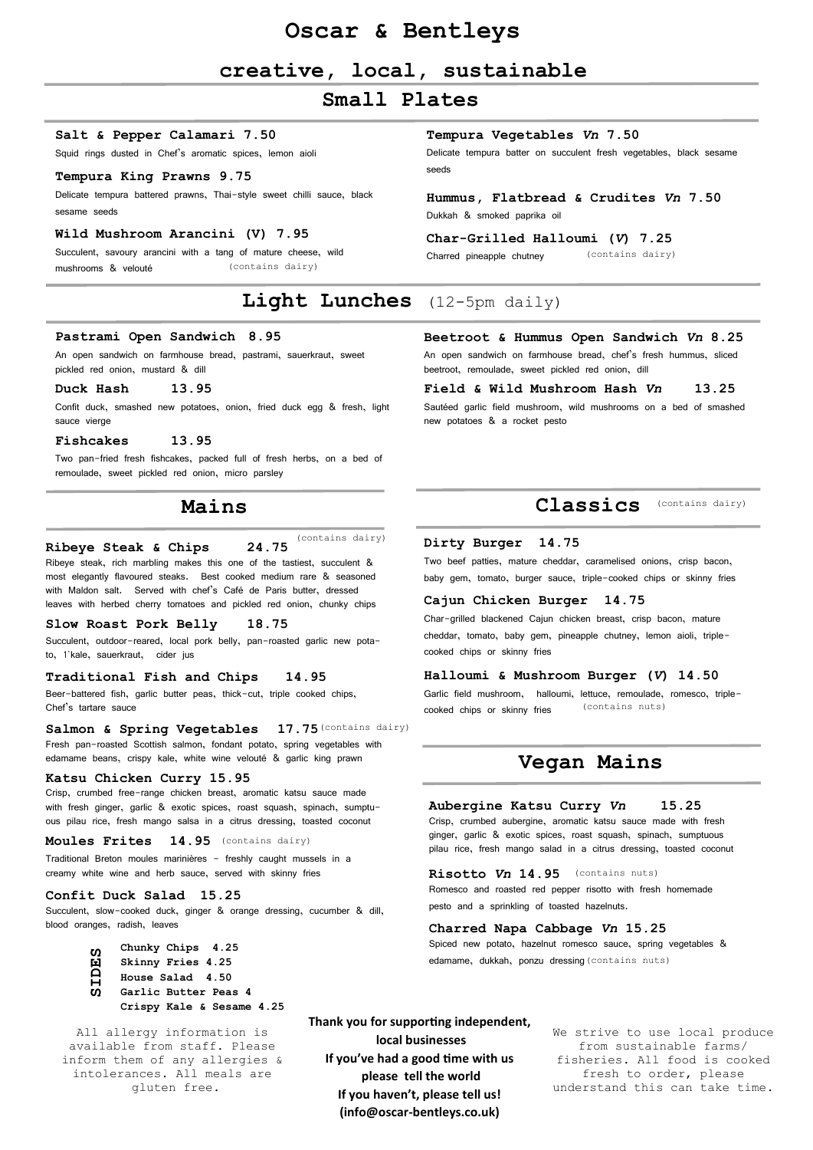# **Oscar & Bentleys**

# **creative, local, sustainable**

# **Small Plates**

### **Salt & Pepper Calamari 7.50**

Squid rings dusted in Chef's aromatic spices, lemon aioli

### **Tempura King Prawns 9.75**

Delicate tempura battered prawns, Thai-style sweet chilli sauce, black sesame seeds

### **Wild Mushroom Arancini (V) 7.95**

(contains dairy) Succulent, savoury arancini with a tang of mature cheese, wild mushrooms & velouté

# **Light Lunches** (12-5pm daily)

### **Pastrami Open Sandwich 8.95**

An open sandwich on farmhouse bread, pastrami, sauerkraut, sweet pickled red onion, mustard & dill

### **Duck Hash 13.95**

Confit duck, smashed new potatoes, onion, fried duck egg & fresh, light sauce vierge

### **Fishcakes 13.95**

Two pan-fried fresh fishcakes, packed full of fresh herbs, on a bed of remoulade, sweet pickled red onion, micro parsley

### **Mains**

#### (contains dairy) **Ribeye Steak & Chips 24.75**

Ribeye steak, rich marbling makes this one of the tastiest, succulent & most elegantly flavoured steaks. Best cooked medium rare & seasoned with Maldon salt. Served with chef's Café de Paris butter, dressed leaves with herbed cherry tomatoes and pickled red onion, chunky chips

### **Slow Roast Pork Belly 18.75**

Succulent, outdoor-reared, local pork belly, pan-roasted garlic new potato, 1`kale, sauerkraut, cider jus

### **Traditional Fish and Chips 14.95**

Beer-battered fish, garlic butter peas, thick-cut, triple cooked chips, Chef's tartare sauce

### Salmon & Spring Vegetables 17.75 (contains dairy)

Fresh pan-roasted Scottish salmon, fondant potato, spring vegetables with edamame beans, crispy kale, white wine velouté & garlic king prawn

### **Katsu Chicken Curry 15.95**

Crisp, crumbed free-range chicken breast, aromatic katsu sauce made with fresh ginger, garlic & exotic spices, roast squash, spinach, sumptuous pilau rice, fresh mango salsa in a citrus dressing, toasted coconut

(contains dairy) **Moules Frites 14.95**

Traditional Breton moules marinières - freshly caught mussels in a creamy white wine and herb sauce, served with skinny fries

### **Confit Duck Salad 15.25**

Succulent, slow-cooked duck, ginger & orange dressing, cucumber & dill, blood oranges, radish, leaves

- **Chunky Chips 4.25**
- **Skinny Fries 4.25**
- **House Salad 4.50 Garlic Butter Peas 4 SIDES**
	- **Crispy Kale & Sesame 4.25**

All allergy information is available from staff. Please inform them of any allergies & intolerances. All meals are gluten free.

**local businesses If you've had a good time with us please tell the world If you haven't, please tell us! (info@oscar-bentleys.co.uk)**

**Thank you for supporting independent,**

### **Tempura Vegetables** *Vn* **7.50**

Delicate tempura batter on succulent fresh vegetables, black sesame seeds

### **Hummus, Flatbread & Crudites** *Vn* **7.50** Dukkah & smoked paprika oil

#### **Char-Grilled Halloumi (***V***) 7.25**

(contains dairy) Charred pineapple chutney

### **Beetroot & Hummus Open Sandwich** *Vn* **8.25**

An open sandwich on farmhouse bread, chef's fresh hummus, sliced beetroot, remoulade, sweet pickled red onion, dill

#### **Field & Wild Mushroom Hash** *Vn* **13.25**

Sautéed garlic field mushroom, wild mushrooms on a bed of smashed new potatoes & a rocket pesto

### **Classics** (contains dairy)

### **Dirty Burger 14.75**

Two beef patties, mature cheddar, caramelised onions, crisp bacon, baby gem, tomato, burger sauce, triple-cooked chips or skinny fries

#### **Cajun Chicken Burger 14.75**

Char-grilled blackened Cajun chicken breast, crisp bacon, mature cheddar, tomato, baby gem, pineapple chutney, lemon aioli, triplecooked chips or skinny fries

#### **Halloumi & Mushroom Burger (***V***) 14.50**

(contains nuts) Garlic field mushroom, halloumi, lettuce, remoulade, romesco, triplecooked chips or skinny fries

### **Vegan Mains**

#### **Aubergine Katsu Curry** *Vn* **15.25**

Crisp, crumbed aubergine, aromatic katsu sauce made with fresh ginger, garlic & exotic spices, roast squash, spinach, sumptuous pilau rice, fresh mango salad in a citrus dressing, toasted coconut

**Risotto** *Vn* **14.95** (contains nuts) Romesco and roasted red pepper risotto with fresh homemade pesto and a sprinkling of toasted hazelnuts.

#### **Charred Napa Cabbage** *Vn* **15.25**

edamame, dukkah, ponzu dressing (contains nuts) Spiced new potato, hazelnut romesco sauce, spring vegetables &

> We strive to use local produce from sustainable farms/ fisheries. All food is cooked fresh to order, please understand this can take time.